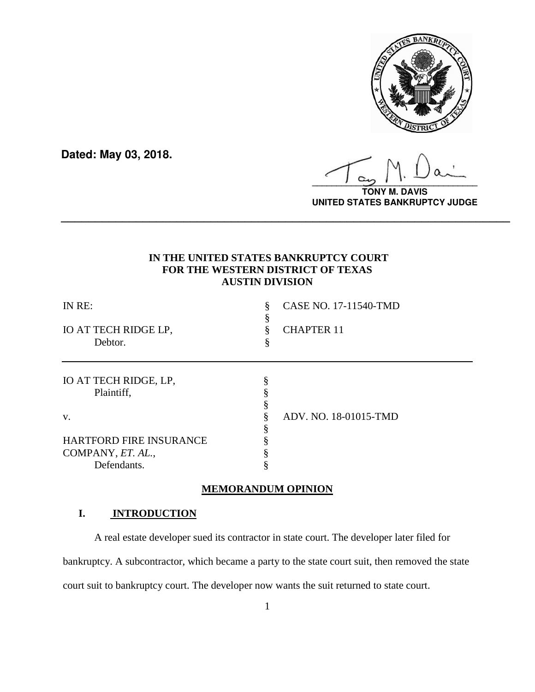

**Dated: May 03, 2018.**

**\_\_\_\_\_\_\_\_\_\_\_\_\_\_\_\_\_\_\_\_\_\_\_\_\_\_\_\_\_\_\_\_\_\_**

**TONY M. DAVIS UNITED STATES BANKRUPTCY JUDGE**

## **IN THE UNITED STATES BANKRUPTCY COURT FOR THE WESTERN DISTRICT OF TEXAS AUSTIN DIVISION**

**\_\_\_\_\_\_\_\_\_\_\_\_\_\_\_\_\_\_\_\_\_\_\_\_\_\_\_\_\_\_\_\_\_\_\_\_\_\_\_\_\_\_\_\_\_\_\_\_\_\_\_\_\_\_\_\_\_\_\_\_\_\_\_\_\_\_**

| IN RE:<br>IO AT TECH RIDGE LP,<br>Debtor. | 8 | CASE NO. 17-11540-TMD<br><b>CHAPTER 11</b> |
|-------------------------------------------|---|--------------------------------------------|
| IO AT TECH RIDGE, LP,<br>Plaintiff,       |   |                                            |
| V.                                        |   | ADV. NO. 18-01015-TMD                      |
| <b>HARTFORD FIRE INSURANCE</b>            |   |                                            |
| COMPANY, ET. AL.,                         |   |                                            |
| Defendants.                               |   |                                            |

#### **MEMORANDUM OPINION**

## **I. INTRODUCTION**

A real estate developer sued its contractor in state court. The developer later filed for bankruptcy. A subcontractor, which became a party to the state court suit, then removed the state court suit to bankruptcy court. The developer now wants the suit returned to state court.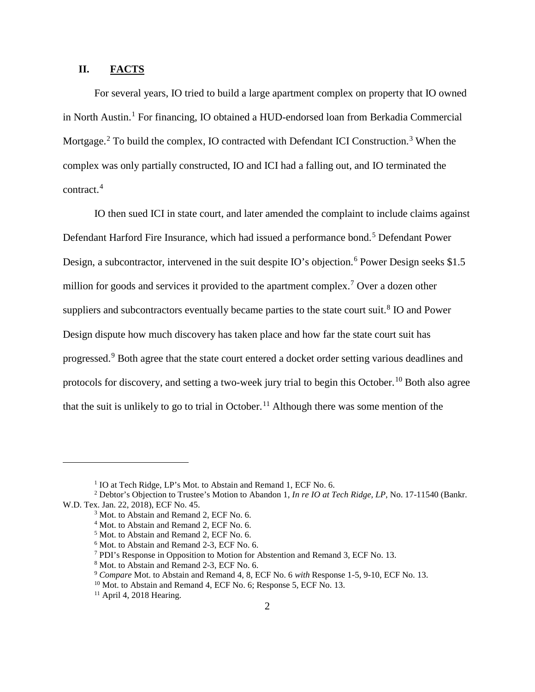### **II. FACTS**

For several years, IO tried to build a large apartment complex on property that IO owned in North Austin.[1](#page-1-0) For financing, IO obtained a HUD-endorsed loan from Berkadia Commercial Mortgage.<sup>[2](#page-1-1)</sup> To build the complex, IO contracted with Defendant ICI Construction.<sup>[3](#page-1-2)</sup> When the complex was only partially constructed, IO and ICI had a falling out, and IO terminated the contract.[4](#page-1-3)

IO then sued ICI in state court, and later amended the complaint to include claims against Defendant Harford Fire Insurance, which had issued a performance bond.<sup>[5](#page-1-4)</sup> Defendant Power Design, a subcontractor, intervened in the suit despite IO's objection.<sup>[6](#page-1-5)</sup> Power Design seeks \$1.5 million for goods and services it provided to the apartment complex.<sup>[7](#page-1-6)</sup> Over a dozen other suppliers and subcontractors eventually became parties to the state court suit.<sup>[8](#page-1-7)</sup> IO and Power Design dispute how much discovery has taken place and how far the state court suit has progressed.[9](#page-1-8) Both agree that the state court entered a docket order setting various deadlines and protocols for discovery, and setting a two-week jury trial to begin this October.<sup>[10](#page-1-9)</sup> Both also agree that the suit is unlikely to go to trial in October.<sup>[11](#page-1-10)</sup> Although there was some mention of the

<sup>&</sup>lt;sup>1</sup> IO at Tech Ridge, LP's Mot. to Abstain and Remand 1, ECF No. 6.

<span id="page-1-6"></span><span id="page-1-5"></span><span id="page-1-4"></span><span id="page-1-3"></span><span id="page-1-2"></span><span id="page-1-1"></span><span id="page-1-0"></span><sup>2</sup> Debtor's Objection to Trustee's Motion to Abandon 1, *In re IO at Tech Ridge, LP*, No. 17-11540 (Bankr. W.D. Tex. Jan. 22, 2018), ECF No. 45.

<sup>&</sup>lt;sup>3</sup> Mot. to Abstain and Remand 2, ECF No. 6.

<sup>&</sup>lt;sup>4</sup> Mot. to Abstain and Remand 2, ECF No. 6.

<sup>5</sup> Mot. to Abstain and Remand 2, ECF No. 6.

<sup>6</sup> Mot. to Abstain and Remand 2-3, ECF No. 6.

<sup>7</sup> PDI's Response in Opposition to Motion for Abstention and Remand 3, ECF No. 13.

<sup>8</sup> Mot. to Abstain and Remand 2-3, ECF No. 6.

<span id="page-1-9"></span><span id="page-1-8"></span><span id="page-1-7"></span><sup>9</sup> *Compare* Mot. to Abstain and Remand 4, 8, ECF No. 6 *with* Response 1-5, 9-10, ECF No. 13.

<sup>&</sup>lt;sup>10</sup> Mot. to Abstain and Remand 4, ECF No. 6; Response 5, ECF No. 13.

<span id="page-1-10"></span> $11$  April 4, 2018 Hearing.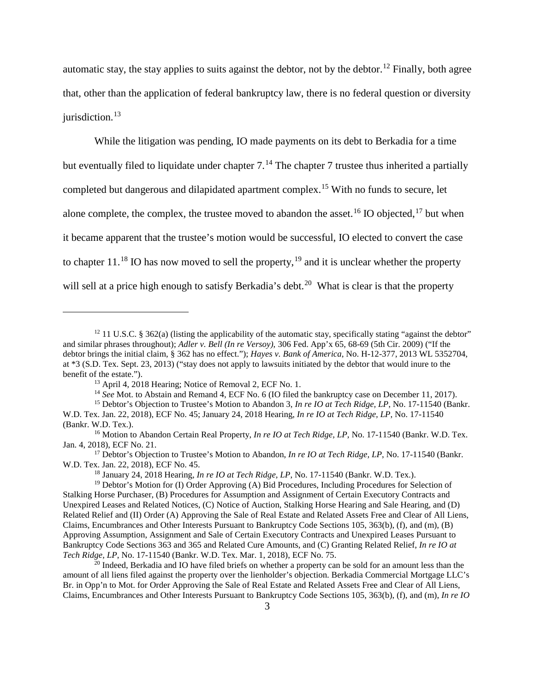automatic stay, the stay applies to suits against the debtor, not by the debtor.<sup>[12](#page-2-0)</sup> Finally, both agree that, other than the application of federal bankruptcy law, there is no federal question or diversity iurisdiction. $13$ 

While the litigation was pending, IO made payments on its debt to Berkadia for a time but eventually filed to liquidate under chapter  $7.^{14}$  $7.^{14}$  $7.^{14}$  The chapter 7 trustee thus inherited a partially completed but dangerous and dilapidated apartment complex.[15](#page-2-3) With no funds to secure, let alone complete, the complex, the trustee moved to abandon the asset.<sup>[16](#page-2-4)</sup> IO objected,<sup>[17](#page-2-5)</sup> but when it became apparent that the trustee's motion would be successful, IO elected to convert the case to chapter  $11.^{18}$  $11.^{18}$  $11.^{18}$  IO has now moved to sell the property,  $19$  and it is unclear whether the property will sell at a price high enough to satisfy Berkadia's debt.<sup>20</sup> What is clear is that the property

 $\overline{a}$ 

<span id="page-2-5"></span><sup>17</sup> Debtor's Objection to Trustee's Motion to Abandon, *In re IO at Tech Ridge, LP*, No. 17-11540 (Bankr. W.D. Tex. Jan. 22, 2018), ECF No. 45.

<span id="page-2-0"></span><sup>&</sup>lt;sup>12</sup> 11 U.S.C. § 362(a) (listing the applicability of the automatic stay, specifically stating "against the debtor" and similar phrases throughout); *Adler v. Bell (In re Versoy)*, 306 Fed. App'x 65, 68-69 (5th Cir. 2009) ("If the debtor brings the initial claim, § 362 has no effect."); *Hayes v. Bank of America*, No. H-12-377, 2013 WL 5352704, at \*3 (S.D. Tex. Sept. 23, 2013) ("stay does not apply to lawsuits initiated by the debtor that would inure to the benefit of the estate.").

<sup>13</sup> April 4, 2018 Hearing; Notice of Removal 2, ECF No. 1.

<sup>14</sup> *See* Mot. to Abstain and Remand 4, ECF No. 6 (IO filed the bankruptcy case on December 11, 2017).

<span id="page-2-3"></span><span id="page-2-2"></span><span id="page-2-1"></span><sup>&</sup>lt;sup>15</sup> Debtor's Objection to Trustee's Motion to Abandon 3, *In re 10 at Tech Ridge, LP*, No. 17-11540 (Bankr. W.D. Tex. Jan. 22, 2018), ECF No. 45; January 24, 2018 Hearing, *In re IO at Tech Ridge, LP*, No. 17-11540 (Bankr. W.D. Tex.).

<span id="page-2-4"></span><sup>&</sup>lt;sup>16</sup> Motion to Abandon Certain Real Property, *In re IO at Tech Ridge, LP*, No. 17-11540 (Bankr. W.D. Tex. Jan. 4, 2018), ECF No. 21.

<sup>18</sup> January 24, 2018 Hearing, *In re IO at Tech Ridge, LP*, No. 17-11540 (Bankr. W.D. Tex.).

<span id="page-2-7"></span><span id="page-2-6"></span> $<sup>19</sup>$  Debtor's Motion for (I) Order Approving (A) Bid Procedures, Including Procedures for Selection of</sup> Stalking Horse Purchaser, (B) Procedures for Assumption and Assignment of Certain Executory Contracts and Unexpired Leases and Related Notices, (C) Notice of Auction, Stalking Horse Hearing and Sale Hearing, and (D) Related Relief and (II) Order (A) Approving the Sale of Real Estate and Related Assets Free and Clear of All Liens, Claims, Encumbrances and Other Interests Pursuant to Bankruptcy Code Sections 105, 363(b), (f), and (m), (B) Approving Assumption, Assignment and Sale of Certain Executory Contracts and Unexpired Leases Pursuant to Bankruptcy Code Sections 363 and 365 and Related Cure Amounts, and (C) Granting Related Relief, *In re IO at Tech Ridge, LP*, No. 17-11540 (Bankr. W.D. Tex. Mar. 1, 2018), ECF No. 75.

<span id="page-2-8"></span><sup>&</sup>lt;sup>20</sup> Indeed, Berkadia and IO have filed briefs on whether a property can be sold for an amount less than the amount of all liens filed against the property over the lienholder's objection. Berkadia Commercial Mortgage LLC's Br. in Opp'n to Mot. for Order Approving the Sale of Real Estate and Related Assets Free and Clear of All Liens, Claims, Encumbrances and Other Interests Pursuant to Bankruptcy Code Sections 105, 363(b), (f), and (m), *In re IO*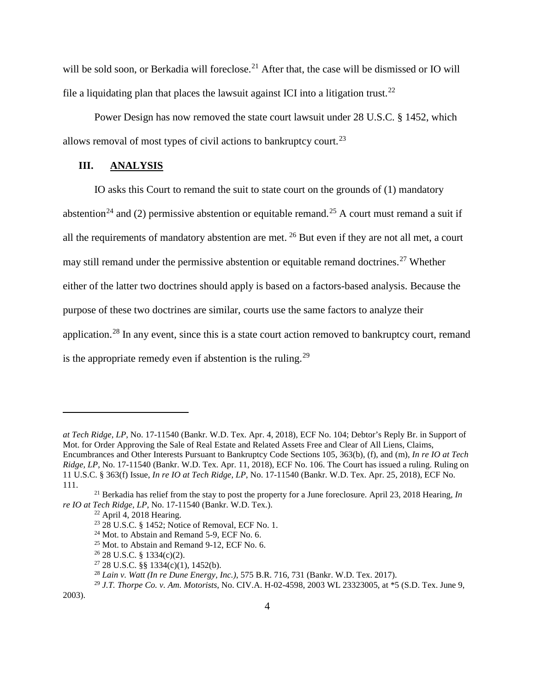will be sold soon, or Berkadia will foreclose.<sup>[21](#page-3-0)</sup> After that, the case will be dismissed or IO will file a liquidating plan that places the lawsuit against ICI into a litigation trust.<sup>[22](#page-3-1)</sup>

Power Design has now removed the state court lawsuit under 28 U.S.C. § 1452, which allows removal of most types of civil actions to bankruptcy court.<sup>[23](#page-3-2)</sup>

### **III. ANALYSIS**

IO asks this Court to remand the suit to state court on the grounds of (1) mandatory abstention<sup>[24](#page-3-3)</sup> and (2) permissive abstention or equitable remand.<sup>[25](#page-3-4)</sup> A court must remand a suit if all the requirements of mandatory abstention are met. [26](#page-3-5) But even if they are not all met, a court may still remand under the permissive abstention or equitable remand doctrines.<sup>[27](#page-3-6)</sup> Whether either of the latter two doctrines should apply is based on a factors-based analysis. Because the purpose of these two doctrines are similar, courts use the same factors to analyze their application.<sup>[28](#page-3-7)</sup> In any event, since this is a state court action removed to bankruptcy court, remand is the appropriate remedy even if abstention is the ruling.<sup>[29](#page-3-8)</sup>

*at Tech Ridge, LP*, No. 17-11540 (Bankr. W.D. Tex. Apr. 4, 2018), ECF No. 104; Debtor's Reply Br. in Support of Mot. for Order Approving the Sale of Real Estate and Related Assets Free and Clear of All Liens, Claims, Encumbrances and Other Interests Pursuant to Bankruptcy Code Sections 105, 363(b), (f), and (m), *In re IO at Tech Ridge, LP*, No. 17-11540 (Bankr. W.D. Tex. Apr. 11, 2018), ECF No. 106. The Court has issued a ruling. Ruling on 11 U.S.C. § 363(f) Issue, *In re IO at Tech Ridge, LP*, No. 17-11540 (Bankr. W.D. Tex. Apr. 25, 2018), ECF No. 111.

<span id="page-3-4"></span><span id="page-3-3"></span><span id="page-3-2"></span><span id="page-3-1"></span><span id="page-3-0"></span><sup>21</sup> Berkadia has relief from the stay to post the property for a June foreclosure. April 23, 2018 Hearing, *In re IO at Tech Ridge, LP*, No. 17-11540 (Bankr. W.D. Tex.).

 $22$  April 4, 2018 Hearing.

<sup>23</sup> 28 U.S.C. § 1452; Notice of Removal, ECF No. 1.

 $24$  Mot. to Abstain and Remand 5-9, ECF No. 6.

<sup>25</sup> Mot. to Abstain and Remand 9-12, ECF No. 6.

 $26$  28 U.S.C. § 1334(c)(2).

 $27$  28 U.S.C. §§ 1334(c)(1), 1452(b).

<sup>28</sup> *Lain v. Watt (In re Dune Energy, Inc.)*, 575 B.R. 716, 731 (Bankr. W.D. Tex. 2017).

<sup>29</sup> *J.T. Thorpe Co. v. Am. Motorists*, No. CIV.A. H-02-4598, 2003 WL 23323005, at \*5 (S.D. Tex. June 9,

<span id="page-3-8"></span><span id="page-3-7"></span><span id="page-3-6"></span><span id="page-3-5"></span><sup>2003).</sup>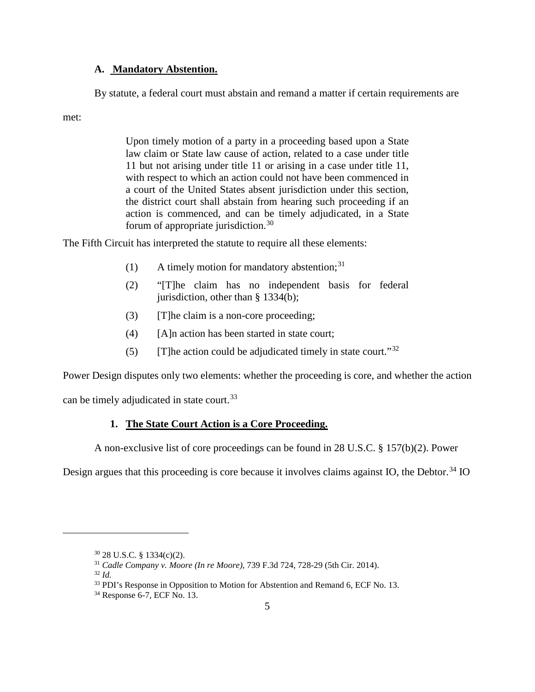### **A. Mandatory Abstention.**

By statute, a federal court must abstain and remand a matter if certain requirements are

met:

Upon timely motion of a party in a proceeding based upon a State law claim or State law cause of action, related to a case under title 11 but not arising under title 11 or arising in a case under title 11, with respect to which an action could not have been commenced in a court of the United States absent jurisdiction under this section, the district court shall abstain from hearing such proceeding if an action is commenced, and can be timely adjudicated, in a State forum of appropriate jurisdiction.[30](#page-4-0)

The Fifth Circuit has interpreted the statute to require all these elements:

- (1) A timely motion for mandatory abstention;  $31$
- (2) "[T]he claim has no independent basis for federal jurisdiction, other than § 1334(b);
- (3) [T]he claim is a non-core proceeding;
- (4) [A]n action has been started in state court;
- (5) [T]he action could be adjudicated timely in state court." $32$

Power Design disputes only two elements: whether the proceeding is core, and whether the action

can be timely adjudicated in state court.<sup>[33](#page-4-3)</sup>

## **1. The State Court Action is a Core Proceeding.**

A non-exclusive list of core proceedings can be found in 28 U.S.C. § 157(b)(2). Power

Design argues that this proceeding is core because it involves claims against IO, the Debtor.<sup>[34](#page-4-4)</sup> IO

<span id="page-4-0"></span><sup>30</sup> 28 U.S.C. § 1334(c)(2).

<span id="page-4-1"></span><sup>31</sup> *Cadle Company v. Moore (In re Moore)*, 739 F.3d 724, 728-29 (5th Cir. 2014).

<sup>32</sup> *Id.*

<span id="page-4-3"></span><span id="page-4-2"></span><sup>&</sup>lt;sup>33</sup> PDI's Response in Opposition to Motion for Abstention and Remand 6, ECF No. 13.

<span id="page-4-4"></span> $34$  Response 6-7, ECF No. 13.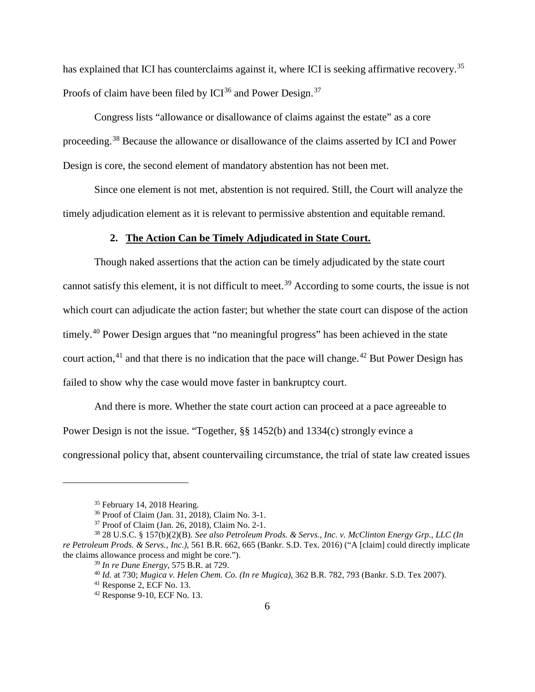has explained that ICI has counterclaims against it, where ICI is seeking affirmative recovery.<sup>[35](#page-5-0)</sup> Proofs of claim have been filed by  $ICI^{36}$  $ICI^{36}$  $ICI^{36}$  and Power Design.<sup>[37](#page-5-2)</sup>

Congress lists "allowance or disallowance of claims against the estate" as a core proceeding.[38](#page-5-3) Because the allowance or disallowance of the claims asserted by ICI and Power Design is core, the second element of mandatory abstention has not been met.

Since one element is not met, abstention is not required. Still, the Court will analyze the timely adjudication element as it is relevant to permissive abstention and equitable remand.

#### **2. The Action Can be Timely Adjudicated in State Court.**

Though naked assertions that the action can be timely adjudicated by the state court cannot satisfy this element, it is not difficult to meet. [39](#page-5-4) According to some courts, the issue is not which court can adjudicate the action faster; but whether the state court can dispose of the action timely.[40](#page-5-5) Power Design argues that "no meaningful progress" has been achieved in the state court action,  $41$  and that there is no indication that the pace will change.  $42$  But Power Design has failed to show why the case would move faster in bankruptcy court.

And there is more. Whether the state court action can proceed at a pace agreeable to Power Design is not the issue. "Together, §§ 1452(b) and 1334(c) strongly evince a congressional policy that, absent countervailing circumstance, the trial of state law created issues

<sup>35</sup> February 14, 2018 Hearing.

<sup>36</sup> Proof of Claim (Jan. 31, 2018), Claim No. 3-1.

<sup>37</sup> Proof of Claim (Jan. 26, 2018), Claim No. 2-1.

<span id="page-5-7"></span><span id="page-5-6"></span><span id="page-5-5"></span><span id="page-5-4"></span><span id="page-5-3"></span><span id="page-5-2"></span><span id="page-5-1"></span><span id="page-5-0"></span><sup>38</sup> 28 U.S.C. § 157(b)(2)(B). *See also Petroleum Prods. & Servs., Inc. v. McClinton Energy Grp., LLC (In re Petroleum Prods. & Servs., Inc.)*, 561 B.R. 662, 665 (Bankr. S.D. Tex. 2016) ("A [claim] could directly implicate the claims allowance process and might be core.").

<sup>39</sup> *In re Dune Energy*, 575 B.R. at 729.

<sup>40</sup> *Id.* at 730; *Mugica v. Helen Chem. Co. (In re Mugica)*, 362 B.R. 782, 793 (Bankr. S.D. Tex 2007).

<sup>41</sup> Response 2, ECF No. 13.

<sup>42</sup> Response 9-10, ECF No. 13.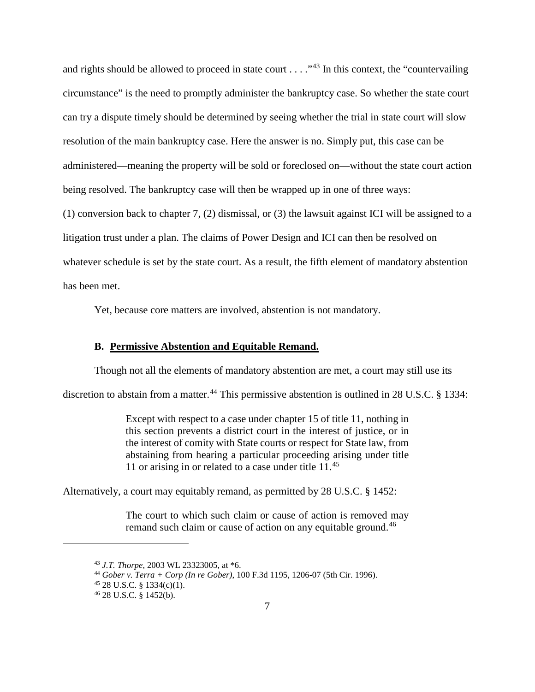and rights should be allowed to proceed in state court . . . . "<sup>[43](#page-6-0)</sup> In this context, the "countervailing" circumstance" is the need to promptly administer the bankruptcy case. So whether the state court can try a dispute timely should be determined by seeing whether the trial in state court will slow resolution of the main bankruptcy case. Here the answer is no. Simply put, this case can be administered—meaning the property will be sold or foreclosed on—without the state court action being resolved. The bankruptcy case will then be wrapped up in one of three ways:

(1) conversion back to chapter 7, (2) dismissal, or (3) the lawsuit against ICI will be assigned to a litigation trust under a plan. The claims of Power Design and ICI can then be resolved on whatever schedule is set by the state court. As a result, the fifth element of mandatory abstention has been met.

Yet, because core matters are involved, abstention is not mandatory.

#### **B. Permissive Abstention and Equitable Remand.**

Though not all the elements of mandatory abstention are met, a court may still use its

discretion to abstain from a matter.<sup>[44](#page-6-1)</sup> This permissive abstention is outlined in 28 U.S.C. § 1334:

Except with respect to a case under chapter 15 of title 11, nothing in this section prevents a district court in the interest of justice, or in the interest of comity with State courts or respect for State law, from abstaining from hearing a particular proceeding arising under title 11 or arising in or related to a case under title  $11^{45}$  $11^{45}$  $11^{45}$ 

Alternatively, a court may equitably remand, as permitted by 28 U.S.C. § 1452:

The court to which such claim or cause of action is removed may remand such claim or cause of action on any equitable ground.<sup>[46](#page-6-3)</sup>

<span id="page-6-0"></span><sup>43</sup> *J.T. Thorpe*, 2003 WL 23323005, at \*6.

<span id="page-6-1"></span><sup>44</sup> *Gober v. Terra + Corp (In re Gober)*, 100 F.3d 1195, 1206-07 (5th Cir. 1996).

<span id="page-6-2"></span> $45$  28 U.S.C. § 1334(c)(1).

<span id="page-6-3"></span><sup>46</sup> 28 U.S.C. § 1452(b).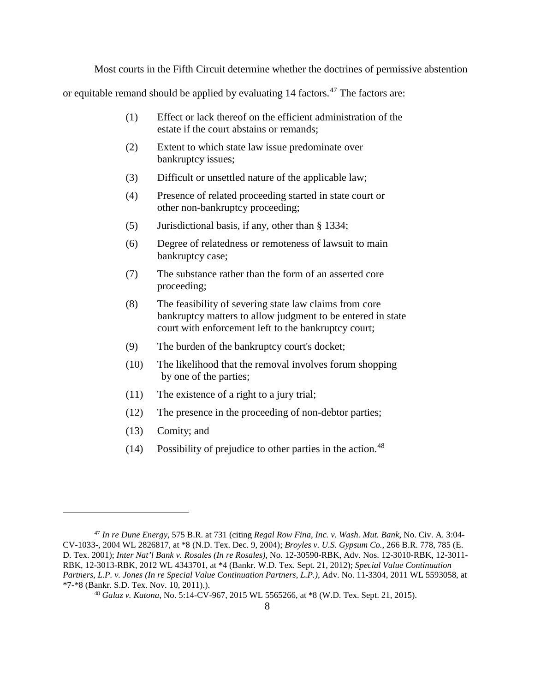Most courts in the Fifth Circuit determine whether the doctrines of permissive abstention

or equitable remand should be applied by evaluating 14 factors.[47](#page-7-0) The factors are:

- (1) Effect or lack thereof on the efficient administration of the estate if the court abstains or remands;
- (2) Extent to which state law issue predominate over bankruptcy issues;
- (3) Difficult or unsettled nature of the applicable law;
- (4) Presence of related proceeding started in state court or other non-bankruptcy proceeding;
- (5) Jurisdictional basis, if any, other than § 1334;
- (6) Degree of relatedness or remoteness of lawsuit to main bankruptcy case;
- (7) The substance rather than the form of an asserted core proceeding;
- (8) The feasibility of severing state law claims from core bankruptcy matters to allow judgment to be entered in state court with enforcement left to the bankruptcy court;
- (9) The burden of the bankruptcy court's docket;
- (10) The likelihood that the removal involves forum shopping by one of the parties;
- (11) The existence of a right to a jury trial;
- (12) The presence in the proceeding of non-debtor parties;
- (13) Comity; and

 $\overline{a}$ 

(14) Possibility of prejudice to other parties in the action.<sup>[48](#page-7-1)</sup>

<span id="page-7-1"></span><span id="page-7-0"></span><sup>47</sup> *In re Dune Energy*, 575 B.R. at 731 (citing *Regal Row Fina, Inc. v. Wash. Mut. Bank*, No. Civ. A. 3:04- CV-1033-, 2004 WL 2826817, at \*8 (N.D. Tex. Dec. 9, 2004); *Broyles v. U.S. Gypsum Co.*, 266 B.R. 778, 785 (E. D. Tex. 2001); *Inter Nat'l Bank v. Rosales (In re Rosales)*, No. 12-30590-RBK, Adv. Nos. 12-3010-RBK, 12-3011- RBK, 12-3013-RBK, 2012 WL 4343701, at \*4 (Bankr. W.D. Tex. Sept. 21, 2012); *Special Value Continuation Partners, L.P. v. Jones (In re Special Value Continuation Partners, L.P.)*, Adv. No. 11-3304, 2011 WL 5593058, at \*7-\*8 (Bankr. S.D. Tex. Nov. 10, 2011).).

<sup>48</sup> *Galaz v. Katona*, No. 5:14-CV-967, 2015 WL 5565266, at \*8 (W.D. Tex. Sept. 21, 2015).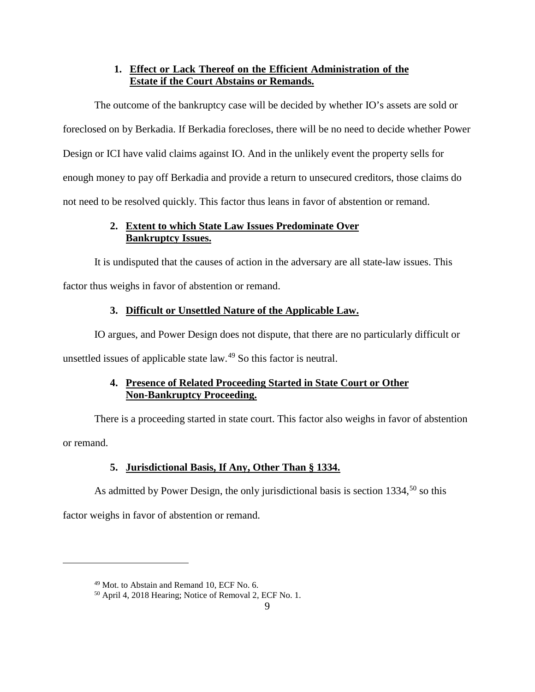## **1. Effect or Lack Thereof on the Efficient Administration of the Estate if the Court Abstains or Remands.**

The outcome of the bankruptcy case will be decided by whether IO's assets are sold or foreclosed on by Berkadia. If Berkadia forecloses, there will be no need to decide whether Power Design or ICI have valid claims against IO. And in the unlikely event the property sells for enough money to pay off Berkadia and provide a return to unsecured creditors, those claims do not need to be resolved quickly. This factor thus leans in favor of abstention or remand.

## **2. Extent to which State Law Issues Predominate Over Bankruptcy Issues.**

It is undisputed that the causes of action in the adversary are all state-law issues. This factor thus weighs in favor of abstention or remand.

# **3. Difficult or Unsettled Nature of the Applicable Law.**

IO argues, and Power Design does not dispute, that there are no particularly difficult or unsettled issues of applicable state law.[49](#page-8-0) So this factor is neutral.

# **4. Presence of Related Proceeding Started in State Court or Other Non-Bankruptcy Proceeding.**

There is a proceeding started in state court. This factor also weighs in favor of abstention or remand.

# **5. Jurisdictional Basis, If Any, Other Than § 1334.**

As admitted by Power Design, the only jurisdictional basis is section  $1334$ ,  $50$  so this

factor weighs in favor of abstention or remand.

<span id="page-8-0"></span><sup>49</sup> Mot. to Abstain and Remand 10, ECF No. 6.

<span id="page-8-1"></span><sup>50</sup> April 4, 2018 Hearing; Notice of Removal 2, ECF No. 1.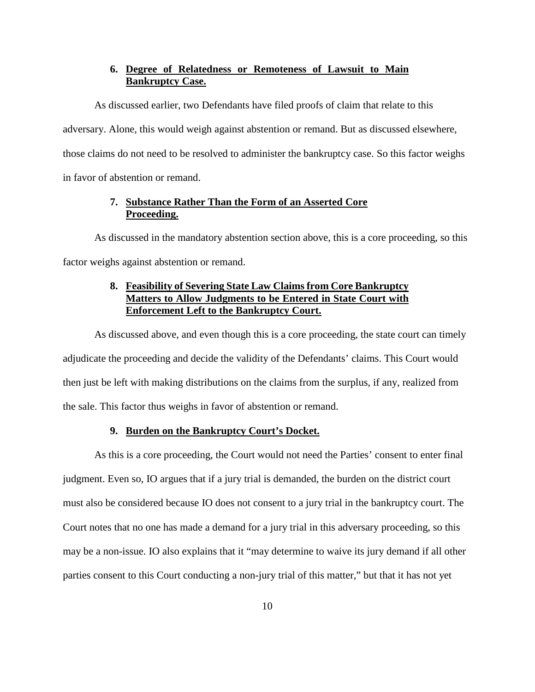## **6. Degree of Relatedness or Remoteness of Lawsuit to Main Bankruptcy Case.**

As discussed earlier, two Defendants have filed proofs of claim that relate to this adversary. Alone, this would weigh against abstention or remand. But as discussed elsewhere, those claims do not need to be resolved to administer the bankruptcy case. So this factor weighs in favor of abstention or remand.

## **7. Substance Rather Than the Form of an Asserted Core Proceeding.**

As discussed in the mandatory abstention section above, this is a core proceeding, so this factor weighs against abstention or remand.

## **8. Feasibility of Severing State Law Claims from Core Bankruptcy Matters to Allow Judgments to be Entered in State Court with Enforcement Left to the Bankruptcy Court.**

As discussed above, and even though this is a core proceeding, the state court can timely adjudicate the proceeding and decide the validity of the Defendants' claims. This Court would then just be left with making distributions on the claims from the surplus, if any, realized from the sale. This factor thus weighs in favor of abstention or remand.

## **9. Burden on the Bankruptcy Court's Docket.**

As this is a core proceeding, the Court would not need the Parties' consent to enter final judgment. Even so, IO argues that if a jury trial is demanded, the burden on the district court must also be considered because IO does not consent to a jury trial in the bankruptcy court. The Court notes that no one has made a demand for a jury trial in this adversary proceeding, so this may be a non-issue. IO also explains that it "may determine to waive its jury demand if all other parties consent to this Court conducting a non-jury trial of this matter," but that it has not yet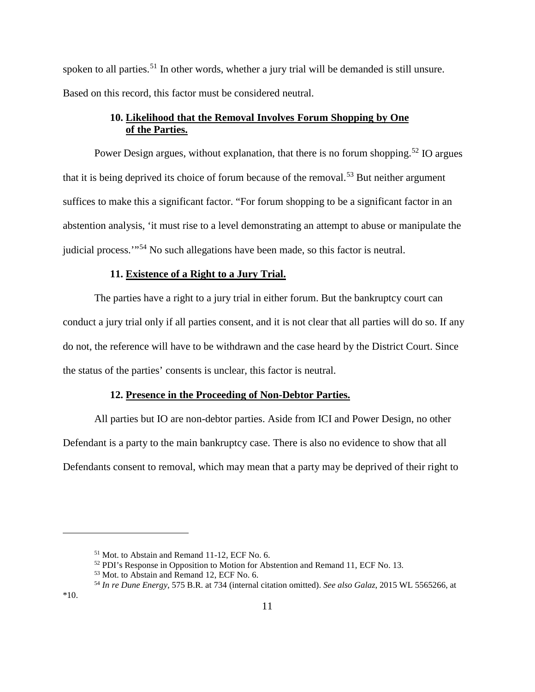spoken to all parties.<sup>[51](#page-10-0)</sup> In other words, whether a jury trial will be demanded is still unsure. Based on this record, this factor must be considered neutral.

# **10. Likelihood that the Removal Involves Forum Shopping by One of the Parties.**

Power Design argues, without explanation, that there is no forum shopping.<sup>[52](#page-10-1)</sup> IO argues that it is being deprived its choice of forum because of the removal.<sup>[53](#page-10-2)</sup> But neither argument suffices to make this a significant factor. "For forum shopping to be a significant factor in an abstention analysis, 'it must rise to a level demonstrating an attempt to abuse or manipulate the judicial process.'"[54](#page-10-3) No such allegations have been made, so this factor is neutral.

## **11. Existence of a Right to a Jury Trial.**

The parties have a right to a jury trial in either forum. But the bankruptcy court can conduct a jury trial only if all parties consent, and it is not clear that all parties will do so. If any do not, the reference will have to be withdrawn and the case heard by the District Court. Since the status of the parties' consents is unclear, this factor is neutral.

### **12. Presence in the Proceeding of Non-Debtor Parties.**

All parties but IO are non-debtor parties. Aside from ICI and Power Design, no other Defendant is a party to the main bankruptcy case. There is also no evidence to show that all Defendants consent to removal, which may mean that a party may be deprived of their right to

<span id="page-10-0"></span><sup>51</sup> Mot. to Abstain and Remand 11-12, ECF No. 6.

<sup>52</sup> PDI's Response in Opposition to Motion for Abstention and Remand 11, ECF No. 13.

<span id="page-10-2"></span><span id="page-10-1"></span><sup>53</sup> Mot. to Abstain and Remand 12, ECF No. 6.

<span id="page-10-3"></span><sup>54</sup> *In re Dune Energy*, 575 B.R. at 734 (internal citation omitted). *See also Galaz*, 2015 WL 5565266, at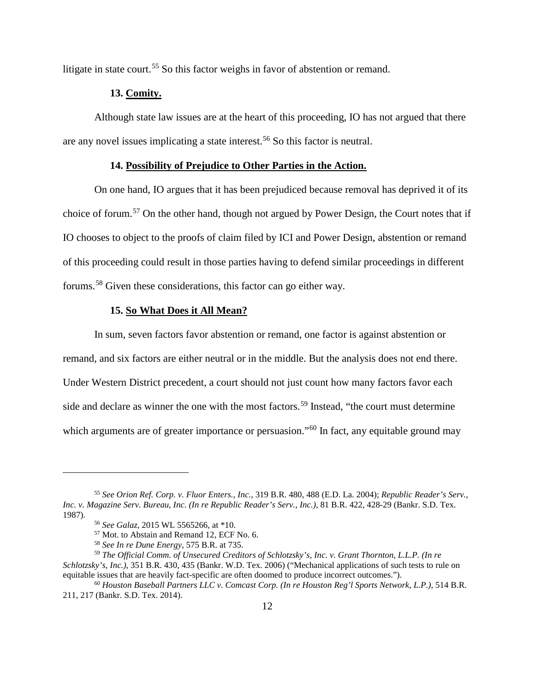litigate in state court.<sup>[55](#page-11-0)</sup> So this factor weighs in favor of abstention or remand.

### **13. Comity.**

Although state law issues are at the heart of this proceeding, IO has not argued that there are any novel issues implicating a state interest.<sup>[56](#page-11-1)</sup> So this factor is neutral.

## **14. Possibility of Prejudice to Other Parties in the Action.**

On one hand, IO argues that it has been prejudiced because removal has deprived it of its choice of forum.[57](#page-11-2) On the other hand, though not argued by Power Design, the Court notes that if IO chooses to object to the proofs of claim filed by ICI and Power Design, abstention or remand of this proceeding could result in those parties having to defend similar proceedings in different forums.[58](#page-11-3) Given these considerations, this factor can go either way.

### **15. So What Does it All Mean?**

In sum, seven factors favor abstention or remand, one factor is against abstention or remand, and six factors are either neutral or in the middle. But the analysis does not end there. Under Western District precedent, a court should not just count how many factors favor each side and declare as winner the one with the most factors.<sup>[59](#page-11-4)</sup> Instead, "the court must determine" which arguments are of greater importance or persuasion."<sup>[60](#page-11-5)</sup> In fact, any equitable ground may

<span id="page-11-0"></span><sup>55</sup> *See Orion Ref. Corp. v. Fluor Enters., Inc.*, 319 B.R. 480, 488 (E.D. La. 2004); *Republic Reader's Serv., Inc. v. Magazine Serv. Bureau, Inc. (In re Republic Reader's Serv., Inc.)*, 81 B.R. 422, 428-29 (Bankr. S.D. Tex. 1987).

<sup>56</sup> *See Galaz*, 2015 WL 5565266, at \*10.

<sup>57</sup> Mot. to Abstain and Remand 12, ECF No. 6.

<sup>58</sup> *See In re Dune Energy*, 575 B.R. at 735.

<span id="page-11-4"></span><span id="page-11-3"></span><span id="page-11-2"></span><span id="page-11-1"></span><sup>59</sup> *The Official Comm. of Unsecured Creditors of Schlotzsky's, Inc. v. Grant Thornton, L.L.P. (In re Schlotzsky's, Inc.)*, 351 B.R. 430, 435 (Bankr. W.D. Tex. 2006) ("Mechanical applications of such tests to rule on equitable issues that are heavily fact-specific are often doomed to produce incorrect outcomes.").

<span id="page-11-5"></span><sup>60</sup> *Houston Baseball Partners LLC v. Comcast Corp. (In re Houston Reg'l Sports Network, L.P.)*, 514 B.R. 211, 217 (Bankr. S.D. Tex. 2014).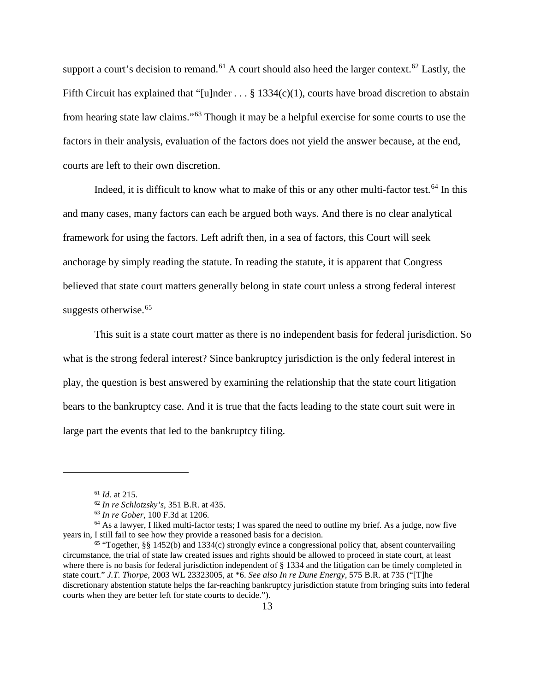support a court's decision to remand.<sup>[61](#page-12-0)</sup> A court should also heed the larger context.<sup>[62](#page-12-1)</sup> Lastly, the Fifth Circuit has explained that "[u]nder . . . § 1334(c)(1), courts have broad discretion to abstain from hearing state law claims."[63](#page-12-2) Though it may be a helpful exercise for some courts to use the factors in their analysis, evaluation of the factors does not yield the answer because, at the end, courts are left to their own discretion.

Indeed, it is difficult to know what to make of this or any other multi-factor test.<sup>[64](#page-12-3)</sup> In this and many cases, many factors can each be argued both ways. And there is no clear analytical framework for using the factors. Left adrift then, in a sea of factors, this Court will seek anchorage by simply reading the statute. In reading the statute, it is apparent that Congress believed that state court matters generally belong in state court unless a strong federal interest suggests otherwise.<sup>[65](#page-12-4)</sup>

This suit is a state court matter as there is no independent basis for federal jurisdiction. So what is the strong federal interest? Since bankruptcy jurisdiction is the only federal interest in play, the question is best answered by examining the relationship that the state court litigation bears to the bankruptcy case. And it is true that the facts leading to the state court suit were in large part the events that led to the bankruptcy filing.

<sup>61</sup> *Id.* at 215.

<sup>62</sup> *In re Schlotzsky's*, 351 B.R. at 435.

<sup>63</sup> *In re Gober*, 100 F.3d at 1206.

<span id="page-12-3"></span><span id="page-12-2"></span><span id="page-12-1"></span><span id="page-12-0"></span> $64$  As a lawyer, I liked multi-factor tests; I was spared the need to outline my brief. As a judge, now five years in, I still fail to see how they provide a reasoned basis for a decision.

<span id="page-12-4"></span> $65$  "Together, §§ 1452(b) and 1334(c) strongly evince a congressional policy that, absent countervailing circumstance, the trial of state law created issues and rights should be allowed to proceed in state court, at least where there is no basis for federal jurisdiction independent of § 1334 and the litigation can be timely completed in state court." *J.T. Thorpe*, 2003 WL 23323005, at \*6. *See also In re Dune Energy*, 575 B.R. at 735 ("[T]he discretionary abstention statute helps the far-reaching bankruptcy jurisdiction statute from bringing suits into federal courts when they are better left for state courts to decide.").